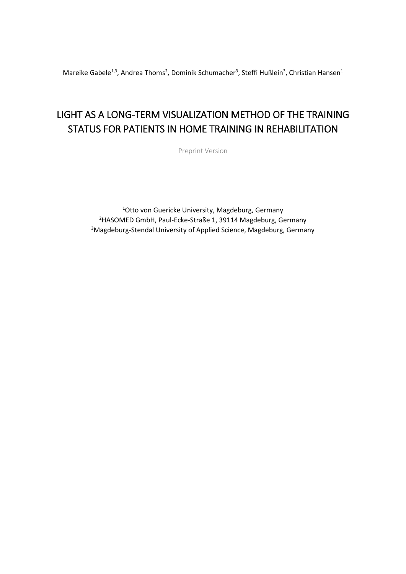Mareike Gabele<sup>1,3</sup>, Andrea Thoms<sup>2</sup>, Dominik Schumacher<sup>3</sup>, Steffi Hußlein<sup>3</sup>, Christian Hansen<sup>1</sup>

# LIGHT AS A LONG-TERM VISUALIZATION METHOD OF THE TRAINING STATUS FOR PATIENTS IN HOME TRAINING IN REHABILITATION

Preprint Version

<sup>1</sup>Otto von Guericke University, Magdeburg, Germany <sup>2</sup>HASOMED GmbH, Paul-Ecke-Straße 1, 39114 Magdeburg, Germany 3Magdeburg-Stendal University of Applied Science, Magdeburg, Germany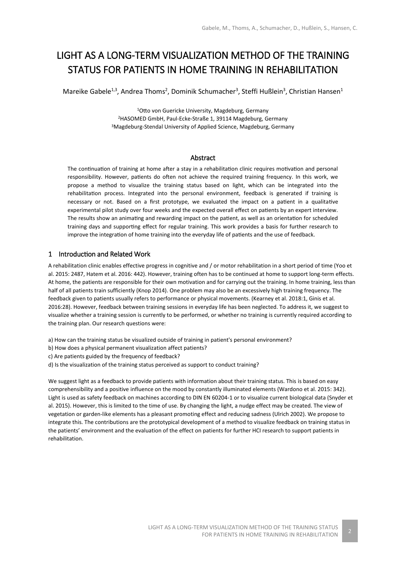## LIGHT AS A LONG-TERM VISUALIZATION METHOD OF THE TRAINING STATUS FOR PATIENTS IN HOME TRAINING IN REHABILITATION

Mareike Gabele<sup>1,3</sup>, Andrea Thoms<sup>2</sup>, Dominik Schumacher<sup>3</sup>, Steffi Hußlein<sup>3</sup>, Christian Hansen<sup>1</sup>

<sup>1</sup>Otto von Guericke University, Magdeburg, Germany <sup>2</sup>HASOMED GmbH, Paul-Ecke-Straße 1, 39114 Magdeburg, Germany <sup>3</sup>Magdeburg-Stendal University of Applied Science, Magdeburg, Germany

## Abstract

The continuation of training at home after a stay in a rehabilitation clinic requires motivation and personal responsibility. However, patients do often not achieve the required training frequency. In this work, we propose a method to visualize the training status based on light, which can be integrated into the rehabilitation process. Integrated into the personal environment, feedback is generated if training is necessary or not. Based on a first prototype, we evaluated the impact on a patient in a qualitative experimental pilot study over four weeks and the expected overall effect on patients by an expert interview. The results show an animating and rewarding impact on the patient, as well as an orientation for scheduled training days and supporting effect for regular training. This work provides a basis for further research to improve the integration of home training into the everyday life of patients and the use of feedback.

## 1 Introduction and Related Work

A rehabilitation clinic enables effective progress in cognitive and / or motor rehabilitation in a short period of time (Yoo et al. 2015: 2487, Hatem et al. 2016: 442). However, training often has to be continued at home to support long-term effects. At home, the patients are responsible for their own motivation and for carrying out the training. In home training, less than half of all patients train sufficiently (Knop 2014). One problem may also be an excessively high training frequency. The feedback given to patients usually refers to performance or physical movements. (Kearney et al. 2018:1, Ginis et al. 2016:28). However, feedback between training sessions in everyday life has been neglected. To address it, we suggest to visualize whether a training session is currently to be performed, or whether no training is currently required according to the training plan. Our research questions were:

- a) How can the training status be visualized outside of training in patient's personal environment?
- b) How does a physical permanent visualization affect patients?
- c) Are patients guided by the frequency of feedback?
- d) Is the visualization of the training status perceived as support to conduct training?

We suggest light as a feedback to provide patients with information about their training status. This is based on easy comprehensibility and a positive influence on the mood by constantly illuminated elements (Wardono et al. 2015: 342). Light is used as safety feedback on machines according to DIN EN 60204-1 or to visualize current biological data (Snyder et al. 2015). However, this is limited to the time of use. By changing the light, a nudge effect may be created. The view of vegetation or garden-like elements has a pleasant promoting effect and reducing sadness (Ulrich 2002). We propose to integrate this. The contributions are the prototypical development of a method to visualize feedback on training status in the patients' environment and the evaluation of the effect on patients for further HCI research to support patients in rehabilitation.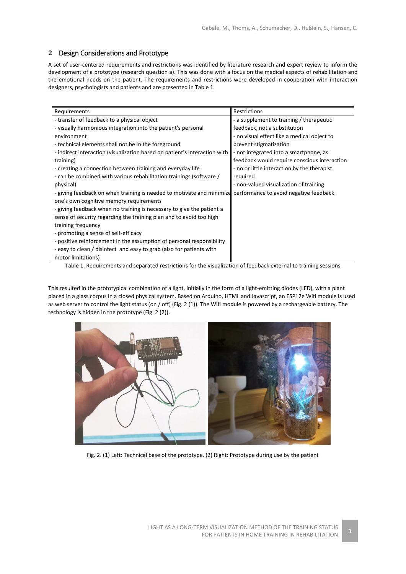## 2 Design Considerations and Prototype

A set of user-centered requirements and restrictions was identified by literature research and expert review to inform the development of a prototype (research question a). This was done with a focus on the medical aspects of rehabilitation and the emotional needs on the patient. The requirements and restrictions were developed in cooperation with interaction designers, psychologists and patients and are presented in Table 1.

| Requirements                                                              | Restrictions                                 |
|---------------------------------------------------------------------------|----------------------------------------------|
| - transfer of feedback to a physical object                               | - a supplement to training / therapeutic     |
| - visually harmonious integration into the patient's personal             | feedback, not a substitution                 |
| environment                                                               | - no visual effect like a medical object to  |
| - technical elements shall not be in the foreground                       | prevent stigmatization                       |
| - indirect interaction (visualization based on patient's interaction with | - not integrated into a smartphone, as       |
| training)                                                                 | feedback would require conscious interaction |
| - creating a connection between training and everyday life                | - no or little interaction by the therapist  |
| - can be combined with various rehabilitation trainings (software /       | required                                     |
| physical)                                                                 | - non-valued visualization of training       |
| - giving feedback on when training is needed to motivate and minimize     | performance to avoid negative feedback       |
| one's own cognitive memory requirements                                   |                                              |
| - giving feedback when no training is necessary to give the patient a     |                                              |
| sense of security regarding the training plan and to avoid too high       |                                              |
| training frequency                                                        |                                              |
| - promoting a sense of self-efficacy                                      |                                              |
| - positive reinforcement in the assumption of personal responsibility     |                                              |
| - easy to clean / disinfect and easy to grab (also for patients with      |                                              |
| motor limitations)                                                        |                                              |

Table 1. Requirements and separated restrictions for the visualization of feedback external to training sessions

This resulted in the prototypical combination of a light, initially in the form of a light-emitting diodes (LED), with a plant placed in a glass corpus in a closed physical system. Based on Arduino, HTML and Javascript, an ESP12e Wifi module is used as web server to control the light status (on / off) (Fig. 2 (1)). The Wifi module is powered by a rechargeable battery. The technology is hidden in the prototype (Fig. 2 (2)).



Fig. 2. (1) Left: Technical base of the prototype, (2) Right: Prototype during use by the patient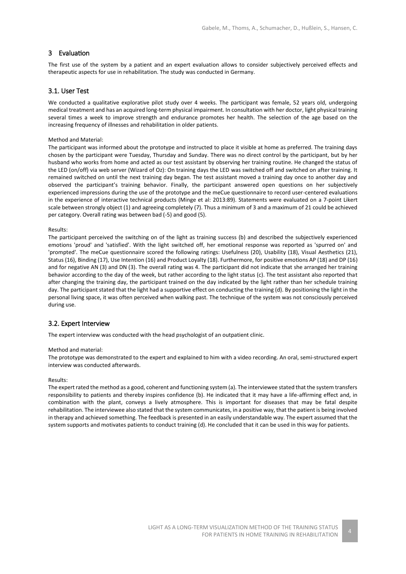## 3 Evaluation

The first use of the system by a patient and an expert evaluation allows to consider subjectively perceived effects and therapeutic aspects for use in rehabilitation. The study was conducted in Germany.

## 3.1. User Test

We conducted a qualitative explorative pilot study over 4 weeks. The participant was female, 52 years old, undergoing medical treatment and has an acquired long-term physical impairment. In consultation with her doctor, light physical training several times a week to improve strength and endurance promotes her health. The selection of the age based on the increasing frequency of illnesses and rehabilitation in older patients.

#### Method and Material:

The participant was informed about the prototype and instructed to place it visible at home as preferred. The training days chosen by the participant were Tuesday, Thursday and Sunday. There was no direct control by the participant, but by her husband who works from home and acted as our test assistant by observing her training routine. He changed the status of the LED (on/off) via web server (Wizard of Oz): On training days the LED was switched off and switched on after training. It remained switched on until the next training day began. The test assistant moved a training day once to another day and observed the participant's training behavior. Finally, the participant answered open questions on her subjectively experienced impressions during the use of the prototype and the meCue questionnaire to record user-centered evaluations in the experience of interactive technical products (Minge et al: 2013:89). Statements were evaluated on a 7-point Likert scale between strongly object (1) and agreeing completely (7). Thus a minimum of 3 and a maximum of 21 could be achieved per category. Overall rating was between bad (-5) and good (5).

#### Results:

The participant perceived the switching on of the light as training success (b) and described the subjectively experienced emotions 'proud' and 'satisfied'. With the light switched off, her emotional response was reported as 'spurred on' and 'prompted'. The meCue questionnaire scored the following ratings: Usefulness (20), Usability (18), Visual Aesthetics (21), Status (16), Binding (17), Use Intention (16) and Product Loyalty (18). Furthermore, for positive emotions AP (18) and DP (16) and for negative AN (3) and DN (3). The overall rating was 4. The participant did not indicate that she arranged her training behavior according to the day of the week, but rather according to the light status (c). The test assistant also reported that after changing the training day, the participant trained on the day indicated by the light rather than her schedule training day. The participant stated that the light had a supportive effect on conducting the training (d). By positioning the light in the personal living space, it was often perceived when walking past. The technique of the system was not consciously perceived during use.

## 3.2. Expert Interview

The expert interview was conducted with the head psychologist of an outpatient clinic.

#### Method and material:

The prototype was demonstrated to the expert and explained to him with a video recording. An oral, semi-structured expert interview was conducted afterwards.

#### Results:

The expert rated the method as a good, coherent and functioning system (a). The interviewee stated that the system transfers responsibility to patients and thereby inspires confidence (b). He indicated that it may have a life-affirming effect and, in combination with the plant, conveys a lively atmosphere. This is important for diseases that may be fatal despite rehabilitation. The interviewee also stated that the system communicates, in a positive way, that the patient is being involved in therapy and achieved something. The feedback is presented in an easily understandable way. The expert assumed that the system supports and motivates patients to conduct training (d). He concluded that it can be used in this way for patients.